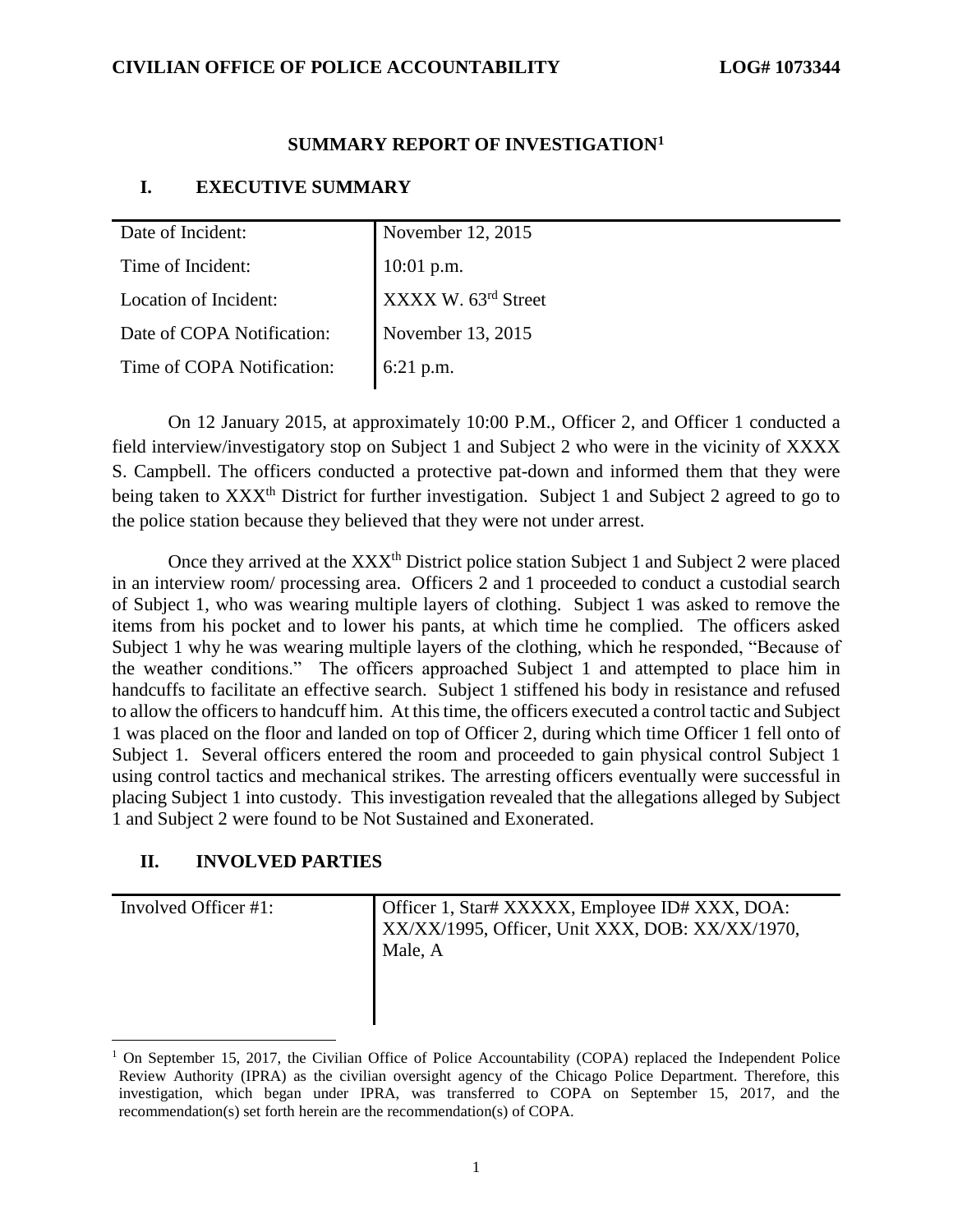### **SUMMARY REPORT OF INVESTIGATION<sup>1</sup>**

### **I. EXECUTIVE SUMMARY**

| Date of Incident:          | November 12, 2015   |
|----------------------------|---------------------|
| Time of Incident:          | 10:01 p.m.          |
| Location of Incident:      | XXXX W. 63rd Street |
| Date of COPA Notification: | November 13, 2015   |
| Time of COPA Notification: | 6:21 p.m.           |

On 12 January 2015, at approximately 10:00 P.M., Officer 2, and Officer 1 conducted a field interview/investigatory stop on Subject 1 and Subject 2 who were in the vicinity of XXXX S. Campbell. The officers conducted a protective pat-down and informed them that they were being taken to  $XXX<sup>th</sup>$  District for further investigation. Subject 1 and Subject 2 agreed to go to the police station because they believed that they were not under arrest.

Once they arrived at the XXX<sup>th</sup> District police station Subject 1 and Subject 2 were placed in an interview room/ processing area. Officers 2 and 1 proceeded to conduct a custodial search of Subject 1, who was wearing multiple layers of clothing. Subject 1 was asked to remove the items from his pocket and to lower his pants, at which time he complied. The officers asked Subject 1 why he was wearing multiple layers of the clothing, which he responded, "Because of the weather conditions." The officers approached Subject 1 and attempted to place him in handcuffs to facilitate an effective search. Subject 1 stiffened his body in resistance and refused to allow the officers to handcuff him. At this time, the officers executed a control tactic and Subject 1 was placed on the floor and landed on top of Officer 2, during which time Officer 1 fell onto of Subject 1. Several officers entered the room and proceeded to gain physical control Subject 1 using control tactics and mechanical strikes. The arresting officers eventually were successful in placing Subject 1 into custody. This investigation revealed that the allegations alleged by Subject 1 and Subject 2 were found to be Not Sustained and Exonerated.

### **II. INVOLVED PARTIES**

 $\overline{a}$ 

Involved Officer #1: **Officer 1, Star# XXXXX, Employee ID# XXX, DOA:** XX/XX/1995, Officer, Unit XXX, DOB: XX/XX/1970, Male, A

 $1$  On September 15, 2017, the Civilian Office of Police Accountability (COPA) replaced the Independent Police Review Authority (IPRA) as the civilian oversight agency of the Chicago Police Department. Therefore, this investigation, which began under IPRA, was transferred to COPA on September 15, 2017, and the recommendation(s) set forth herein are the recommendation(s) of COPA.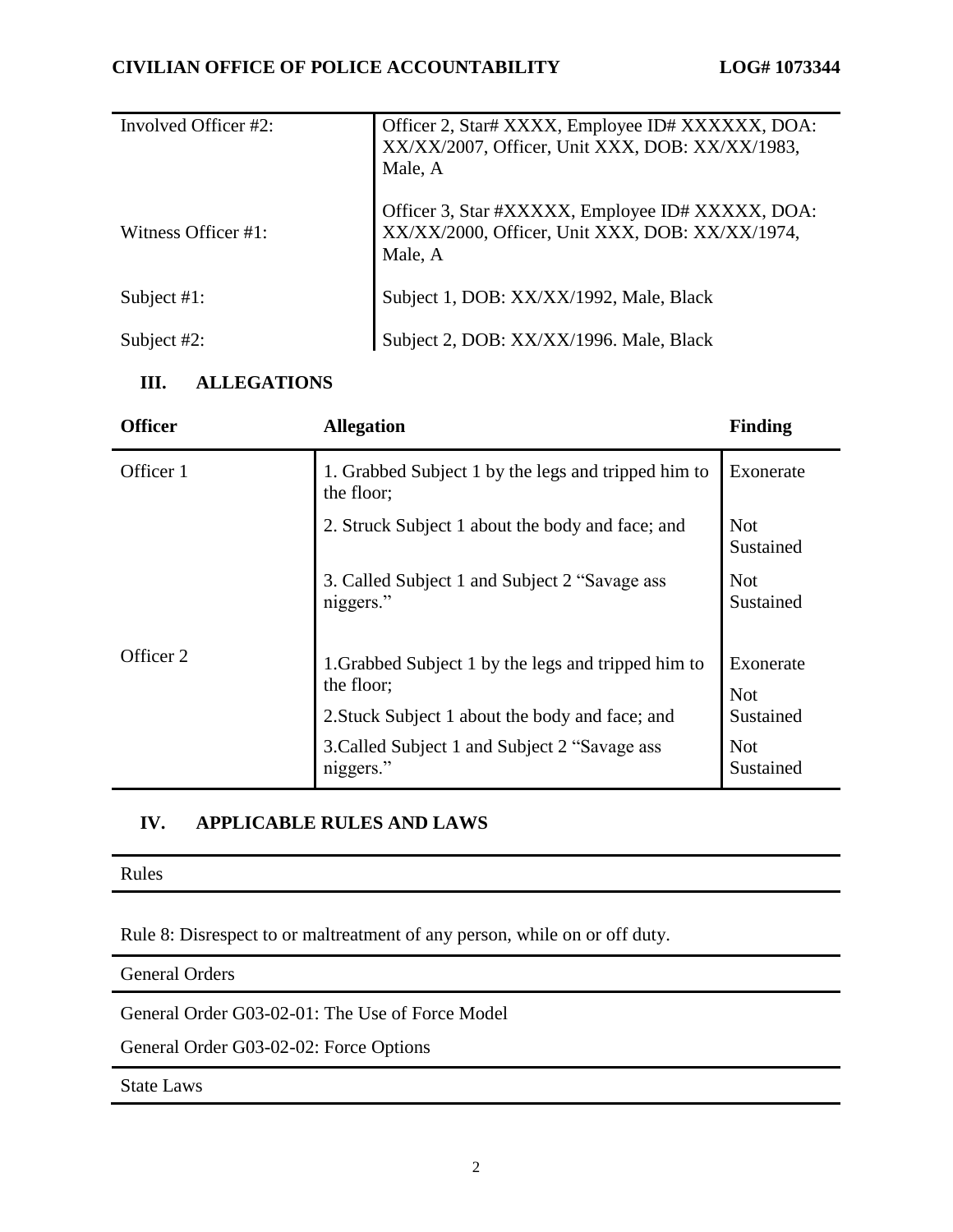| Involved Officer #2: | Officer 2, Star# XXXX, Employee ID# XXXXXX, DOA:<br>XX/XX/2007, Officer, Unit XXX, DOB: XX/XX/1983,<br>Male, A |
|----------------------|----------------------------------------------------------------------------------------------------------------|
| Witness Officer #1:  | Officer 3, Star #XXXXX, Employee ID# XXXXX, DOA:<br>XX/XX/2000, Officer, Unit XXX, DOB: XX/XX/1974,<br>Male, A |
| Subject $#1$ :       | Subject 1, DOB: XX/XX/1992, Male, Black                                                                        |
| Subject $#2$ :       | Subject 2, DOB: XX/XX/1996. Male, Black                                                                        |

## **III. ALLEGATIONS**

| <b>Officer</b> | <b>Allegation</b>                                                 | <b>Finding</b>          |
|----------------|-------------------------------------------------------------------|-------------------------|
| Officer 1      | 1. Grabbed Subject 1 by the legs and tripped him to<br>the floor; | Exonerate               |
|                | 2. Struck Subject 1 about the body and face; and                  | <b>Not</b><br>Sustained |
|                | 3. Called Subject 1 and Subject 2 "Savage ass<br>niggers.         | <b>Not</b><br>Sustained |
| Officer 2      | 1. Grabbed Subject 1 by the legs and tripped him to<br>the floor; | Exonerate<br><b>Not</b> |
|                | 2. Stuck Subject 1 about the body and face; and                   | Sustained               |
|                | 3. Called Subject 1 and Subject 2 "Savage ass<br>niggers."        | <b>Not</b><br>Sustained |

## **IV. APPLICABLE RULES AND LAWS**

### Rules

Rule 8: Disrespect to or maltreatment of any person, while on or off duty.

General Orders

General Order G03-02-01: The Use of Force Model

General Order G03-02-02: Force Options

State Laws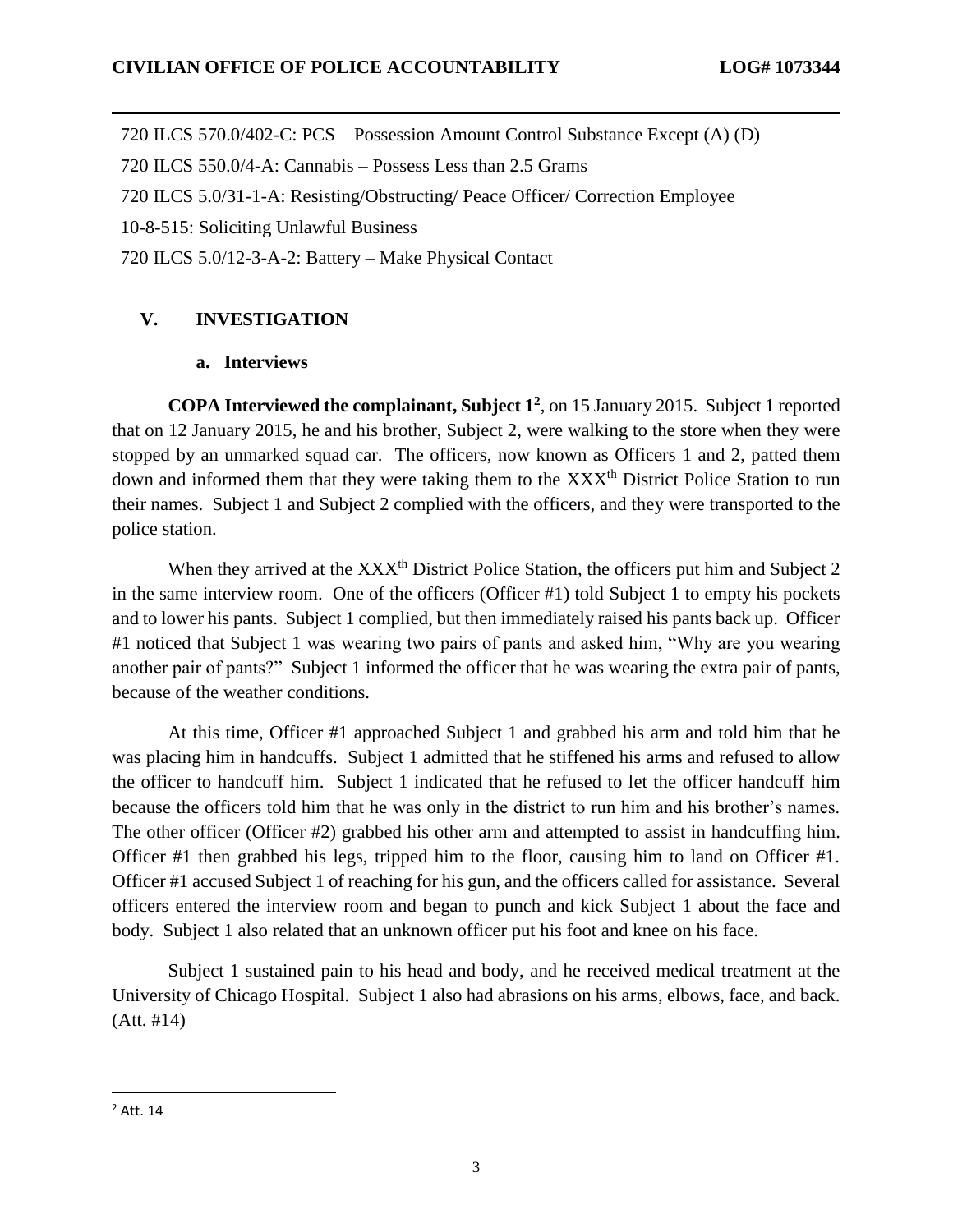720 ILCS 570.0/402-C: PCS – Possession Amount Control Substance Except (A) (D) 720 ILCS 550.0/4-A: Cannabis – Possess Less than 2.5 Grams 720 ILCS 5.0/31-1-A: Resisting/Obstructing/ Peace Officer/ Correction Employee 10-8-515: Soliciting Unlawful Business 720 ILCS 5.0/12-3-A-2: Battery – Make Physical Contact

## **V. INVESTIGATION**

#### **a. Interviews**

**COPA Interviewed the complainant, Subject 1<sup>2</sup>** , on 15 January 2015. Subject 1 reported that on 12 January 2015, he and his brother, Subject 2, were walking to the store when they were stopped by an unmarked squad car. The officers, now known as Officers 1 and 2, patted them down and informed them that they were taking them to the XXX<sup>th</sup> District Police Station to run their names. Subject 1 and Subject 2 complied with the officers, and they were transported to the police station.

When they arrived at the XXX<sup>th</sup> District Police Station, the officers put him and Subject 2 in the same interview room. One of the officers (Officer #1) told Subject 1 to empty his pockets and to lower his pants. Subject 1 complied, but then immediately raised his pants back up. Officer #1 noticed that Subject 1 was wearing two pairs of pants and asked him, "Why are you wearing another pair of pants?" Subject 1 informed the officer that he was wearing the extra pair of pants, because of the weather conditions.

 At this time, Officer #1 approached Subject 1 and grabbed his arm and told him that he was placing him in handcuffs. Subject 1 admitted that he stiffened his arms and refused to allow the officer to handcuff him. Subject 1 indicated that he refused to let the officer handcuff him because the officers told him that he was only in the district to run him and his brother's names. The other officer (Officer #2) grabbed his other arm and attempted to assist in handcuffing him. Officer #1 then grabbed his legs, tripped him to the floor, causing him to land on Officer #1. Officer #1 accused Subject 1 of reaching for his gun, and the officers called for assistance. Several officers entered the interview room and began to punch and kick Subject 1 about the face and body. Subject 1 also related that an unknown officer put his foot and knee on his face.

Subject 1 sustained pain to his head and body, and he received medical treatment at the University of Chicago Hospital. Subject 1 also had abrasions on his arms, elbows, face, and back. (Att. #14)

 $\overline{\phantom{a}}$ 

<sup>2</sup> Att. 14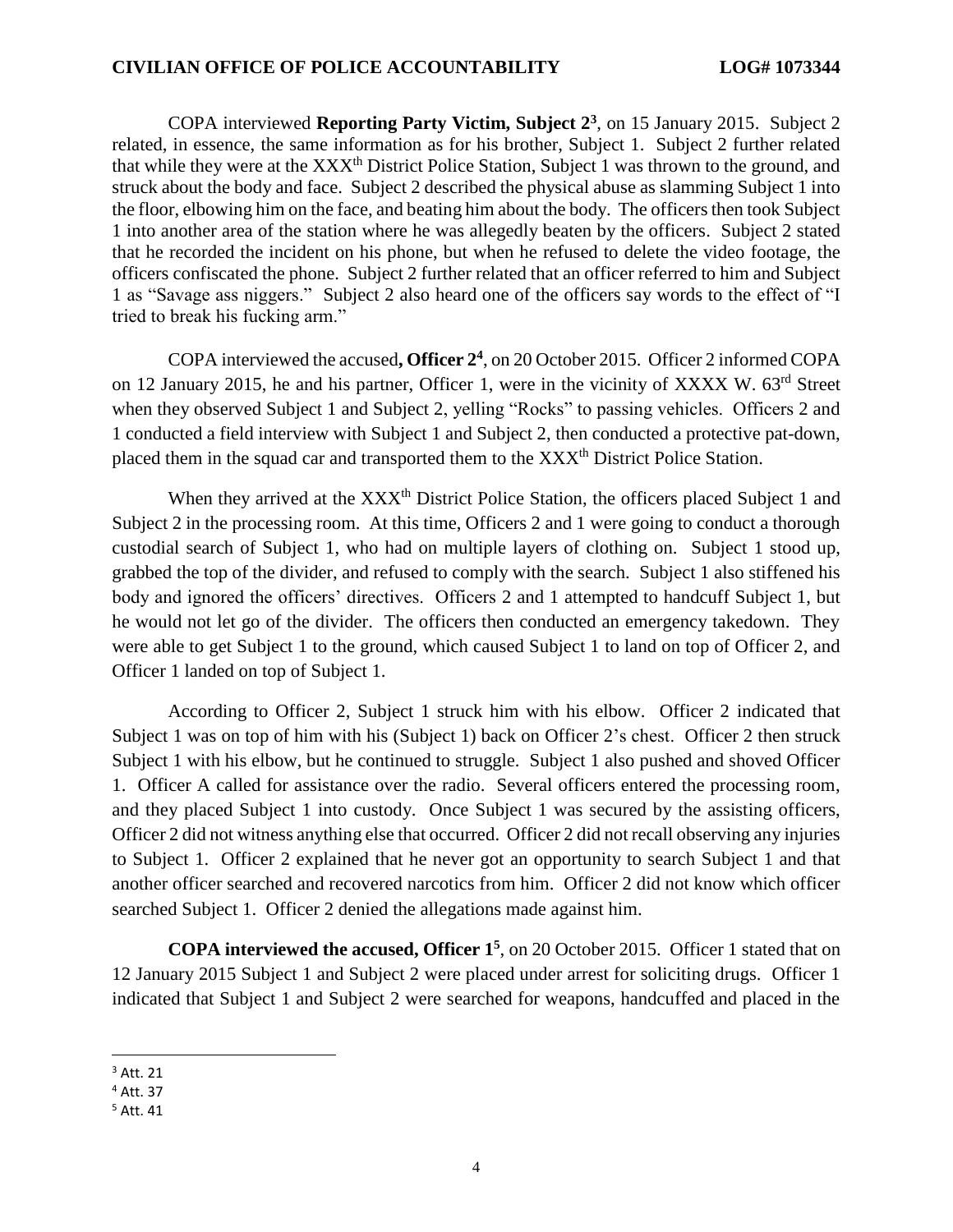COPA interviewed **Reporting Party Victim, Subject 2<sup>3</sup>** , on 15 January 2015. Subject 2 related, in essence, the same information as for his brother, Subject 1. Subject 2 further related that while they were at the XXX<sup>th</sup> District Police Station, Subject 1 was thrown to the ground, and struck about the body and face. Subject 2 described the physical abuse as slamming Subject 1 into the floor, elbowing him on the face, and beating him about the body. The officers then took Subject 1 into another area of the station where he was allegedly beaten by the officers. Subject 2 stated that he recorded the incident on his phone, but when he refused to delete the video footage, the officers confiscated the phone. Subject 2 further related that an officer referred to him and Subject 1 as "Savage ass niggers." Subject 2 also heard one of the officers say words to the effect of "I tried to break his fucking arm."

COPA interviewed the accused**, Officer 2 4** , on 20 October 2015. Officer 2 informed COPA on 12 January 2015, he and his partner, Officer 1, were in the vicinity of XXXX W. 63rd Street when they observed Subject 1 and Subject 2, yelling "Rocks" to passing vehicles. Officers 2 and 1 conducted a field interview with Subject 1 and Subject 2, then conducted a protective pat-down, placed them in the squad car and transported them to the XXX<sup>th</sup> District Police Station.

When they arrived at the XXX<sup>th</sup> District Police Station, the officers placed Subject 1 and Subject 2 in the processing room. At this time, Officers 2 and 1 were going to conduct a thorough custodial search of Subject 1, who had on multiple layers of clothing on. Subject 1 stood up, grabbed the top of the divider, and refused to comply with the search. Subject 1 also stiffened his body and ignored the officers' directives. Officers 2 and 1 attempted to handcuff Subject 1, but he would not let go of the divider. The officers then conducted an emergency takedown. They were able to get Subject 1 to the ground, which caused Subject 1 to land on top of Officer 2, and Officer 1 landed on top of Subject 1.

According to Officer 2, Subject 1 struck him with his elbow. Officer 2 indicated that Subject 1 was on top of him with his (Subject 1) back on Officer 2's chest. Officer 2 then struck Subject 1 with his elbow, but he continued to struggle. Subject 1 also pushed and shoved Officer 1. Officer A called for assistance over the radio. Several officers entered the processing room, and they placed Subject 1 into custody. Once Subject 1 was secured by the assisting officers, Officer 2 did not witness anything else that occurred. Officer 2 did not recall observing any injuries to Subject 1. Officer 2 explained that he never got an opportunity to search Subject 1 and that another officer searched and recovered narcotics from him. Officer 2 did not know which officer searched Subject 1. Officer 2 denied the allegations made against him.

**COPA interviewed the accused, Officer 1<sup>5</sup>** , on 20 October 2015. Officer 1 stated that on 12 January 2015 Subject 1 and Subject 2 were placed under arrest for soliciting drugs. Officer 1 indicated that Subject 1 and Subject 2 were searched for weapons, handcuffed and placed in the

 $\overline{a}$ 

 $3$  Att. 21

<sup>4</sup> Att. 37

<sup>5</sup> Att. 41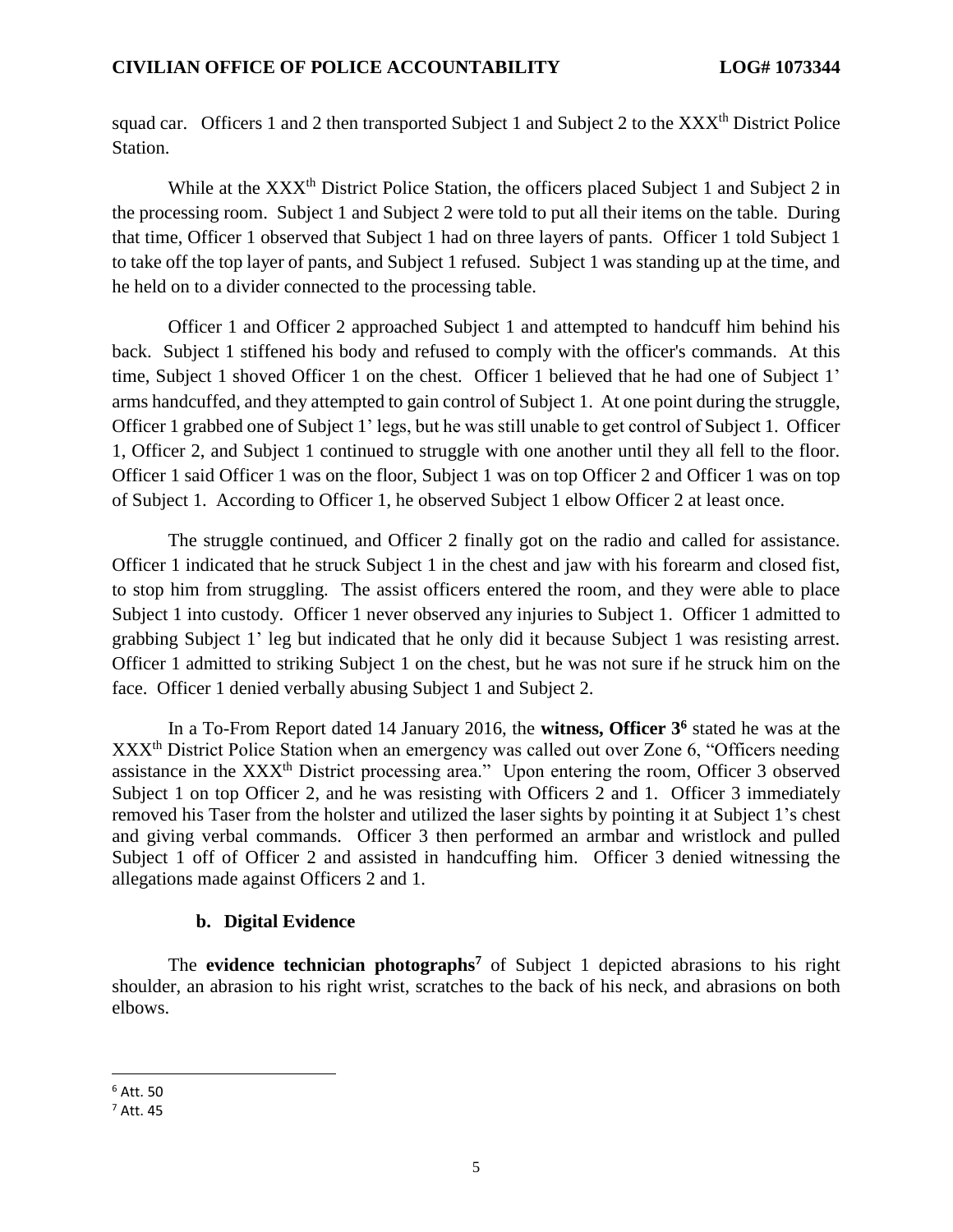squad car. Officers 1 and 2 then transported Subject 1 and Subject 2 to the XXX<sup>th</sup> District Police Station.

While at the XXX<sup>th</sup> District Police Station, the officers placed Subject 1 and Subject 2 in the processing room. Subject 1 and Subject 2 were told to put all their items on the table. During that time, Officer 1 observed that Subject 1 had on three layers of pants. Officer 1 told Subject 1 to take off the top layer of pants, and Subject 1 refused. Subject 1 was standing up at the time, and he held on to a divider connected to the processing table.

Officer 1 and Officer 2 approached Subject 1 and attempted to handcuff him behind his back. Subject 1 stiffened his body and refused to comply with the officer's commands. At this time, Subject 1 shoved Officer 1 on the chest. Officer 1 believed that he had one of Subject 1' arms handcuffed, and they attempted to gain control of Subject 1. At one point during the struggle, Officer 1 grabbed one of Subject 1' legs, but he was still unable to get control of Subject 1. Officer 1, Officer 2, and Subject 1 continued to struggle with one another until they all fell to the floor. Officer 1 said Officer 1 was on the floor, Subject 1 was on top Officer 2 and Officer 1 was on top of Subject 1. According to Officer 1, he observed Subject 1 elbow Officer 2 at least once.

The struggle continued, and Officer 2 finally got on the radio and called for assistance. Officer 1 indicated that he struck Subject 1 in the chest and jaw with his forearm and closed fist, to stop him from struggling. The assist officers entered the room, and they were able to place Subject 1 into custody. Officer 1 never observed any injuries to Subject 1. Officer 1 admitted to grabbing Subject 1' leg but indicated that he only did it because Subject 1 was resisting arrest. Officer 1 admitted to striking Subject 1 on the chest, but he was not sure if he struck him on the face. Officer 1 denied verbally abusing Subject 1 and Subject 2.

In a To-From Report dated 14 January 2016, the **witness, Officer 3<sup>6</sup>** stated he was at the XXX<sup>th</sup> District Police Station when an emergency was called out over Zone 6, "Officers needing assistance in the XXX<sup>th</sup> District processing area." Upon entering the room, Officer 3 observed Subject 1 on top Officer 2, and he was resisting with Officers 2 and 1. Officer 3 immediately removed his Taser from the holster and utilized the laser sights by pointing it at Subject 1's chest and giving verbal commands. Officer 3 then performed an armbar and wristlock and pulled Subject 1 off of Officer 2 and assisted in handcuffing him. Officer 3 denied witnessing the allegations made against Officers 2 and 1.

#### **b. Digital Evidence**

The **evidence technician photographs<sup>7</sup>** of Subject 1 depicted abrasions to his right shoulder, an abrasion to his right wrist, scratches to the back of his neck, and abrasions on both elbows.

 $\overline{\phantom{a}}$  $6$  Att. 50

<sup>7</sup> Att. 45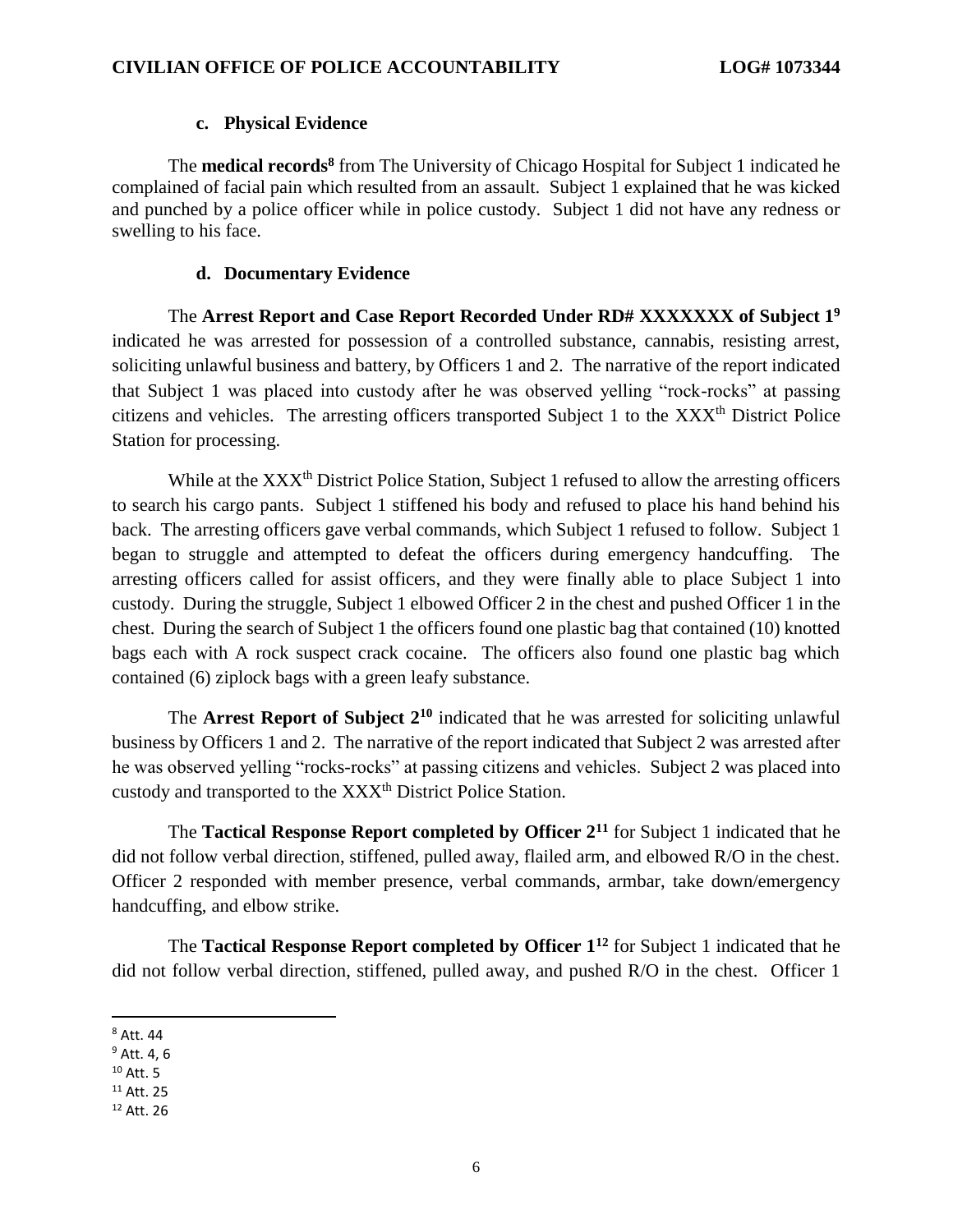#### **c. Physical Evidence**

The **medical records<sup>8</sup>** from The University of Chicago Hospital for Subject 1 indicated he complained of facial pain which resulted from an assault. Subject 1 explained that he was kicked and punched by a police officer while in police custody. Subject 1 did not have any redness or swelling to his face.

#### **d. Documentary Evidence**

The **Arrest Report and Case Report Recorded Under RD# XXXXXXX of Subject 1<sup>9</sup>** indicated he was arrested for possession of a controlled substance, cannabis, resisting arrest, soliciting unlawful business and battery, by Officers 1 and 2. The narrative of the report indicated that Subject 1 was placed into custody after he was observed yelling "rock-rocks" at passing citizens and vehicles. The arresting officers transported Subject 1 to the XXX<sup>th</sup> District Police Station for processing.

While at the XXX<sup>th</sup> District Police Station, Subject 1 refused to allow the arresting officers to search his cargo pants. Subject 1 stiffened his body and refused to place his hand behind his back. The arresting officers gave verbal commands, which Subject 1 refused to follow. Subject 1 began to struggle and attempted to defeat the officers during emergency handcuffing. The arresting officers called for assist officers, and they were finally able to place Subject 1 into custody. During the struggle, Subject 1 elbowed Officer 2 in the chest and pushed Officer 1 in the chest. During the search of Subject 1 the officers found one plastic bag that contained (10) knotted bags each with A rock suspect crack cocaine. The officers also found one plastic bag which contained (6) ziplock bags with a green leafy substance.

The **Arrest Report of Subject 2<sup>10</sup>** indicated that he was arrested for soliciting unlawful business by Officers 1 and 2. The narrative of the report indicated that Subject 2 was arrested after he was observed yelling "rocks-rocks" at passing citizens and vehicles. Subject 2 was placed into custody and transported to the XXX<sup>th</sup> District Police Station.

The **Tactical Response Report completed by Officer 2<sup>11</sup>** for Subject 1 indicated that he did not follow verbal direction, stiffened, pulled away, flailed arm, and elbowed R/O in the chest. Officer 2 responded with member presence, verbal commands, armbar, take down/emergency handcuffing, and elbow strike.

 The **Tactical Response Report completed by Officer 1<sup>12</sup>** for Subject 1 indicated that he did not follow verbal direction, stiffened, pulled away, and pushed R/O in the chest. Officer 1

<sup>12</sup> Att. 26

 $\overline{\phantom{a}}$ <sup>8</sup> Att. 44

 $9$  Att. 4, 6

 $10$  Att. 5

 $11$  Att. 25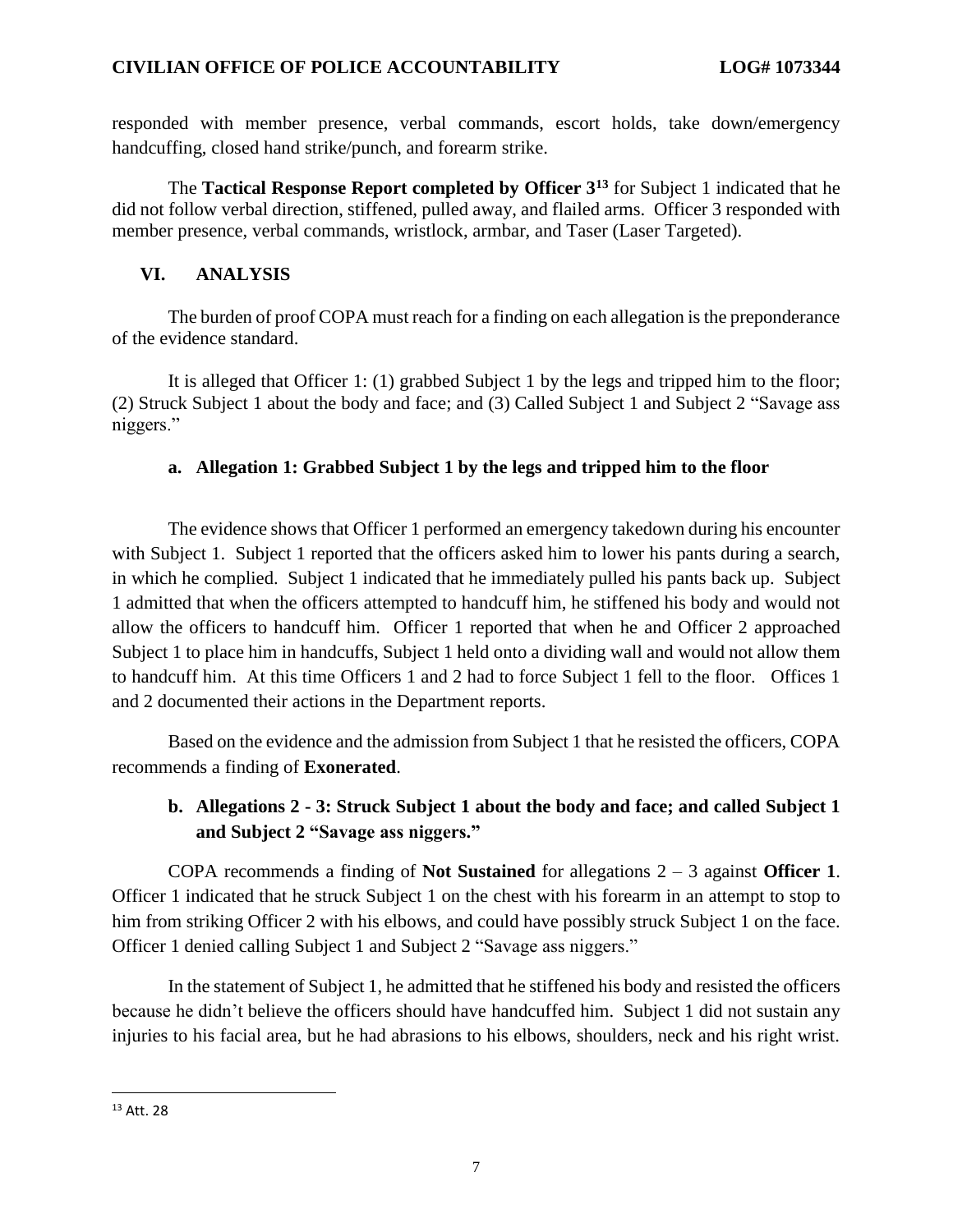responded with member presence, verbal commands, escort holds, take down/emergency handcuffing, closed hand strike/punch, and forearm strike.

The **Tactical Response Report completed by Officer 3<sup>13</sup>** for Subject 1 indicated that he did not follow verbal direction, stiffened, pulled away, and flailed arms. Officer 3 responded with member presence, verbal commands, wristlock, armbar, and Taser (Laser Targeted).

## **VI. ANALYSIS**

The burden of proof COPA must reach for a finding on each allegation is the preponderance of the evidence standard.

It is alleged that Officer 1: (1) grabbed Subject 1 by the legs and tripped him to the floor; (2) Struck Subject 1 about the body and face; and (3) Called Subject 1 and Subject 2 "Savage ass niggers."

### **a. Allegation 1: Grabbed Subject 1 by the legs and tripped him to the floor**

The evidence shows that Officer 1 performed an emergency takedown during his encounter with Subject 1. Subject 1 reported that the officers asked him to lower his pants during a search, in which he complied. Subject 1 indicated that he immediately pulled his pants back up. Subject 1 admitted that when the officers attempted to handcuff him, he stiffened his body and would not allow the officers to handcuff him. Officer 1 reported that when he and Officer 2 approached Subject 1 to place him in handcuffs, Subject 1 held onto a dividing wall and would not allow them to handcuff him. At this time Officers 1 and 2 had to force Subject 1 fell to the floor. Offices 1 and 2 documented their actions in the Department reports.

Based on the evidence and the admission from Subject 1 that he resisted the officers, COPA recommends a finding of **Exonerated**.

## **b. Allegations 2 - 3: Struck Subject 1 about the body and face; and called Subject 1 and Subject 2 "Savage ass niggers."**

COPA recommends a finding of **Not Sustained** for allegations 2 – 3 against **Officer 1**. Officer 1 indicated that he struck Subject 1 on the chest with his forearm in an attempt to stop to him from striking Officer 2 with his elbows, and could have possibly struck Subject 1 on the face. Officer 1 denied calling Subject 1 and Subject 2 "Savage ass niggers."

In the statement of Subject 1, he admitted that he stiffened his body and resisted the officers because he didn't believe the officers should have handcuffed him. Subject 1 did not sustain any injuries to his facial area, but he had abrasions to his elbows, shoulders, neck and his right wrist.

 $\overline{\phantom{a}}$ 

<sup>13</sup> Att. 28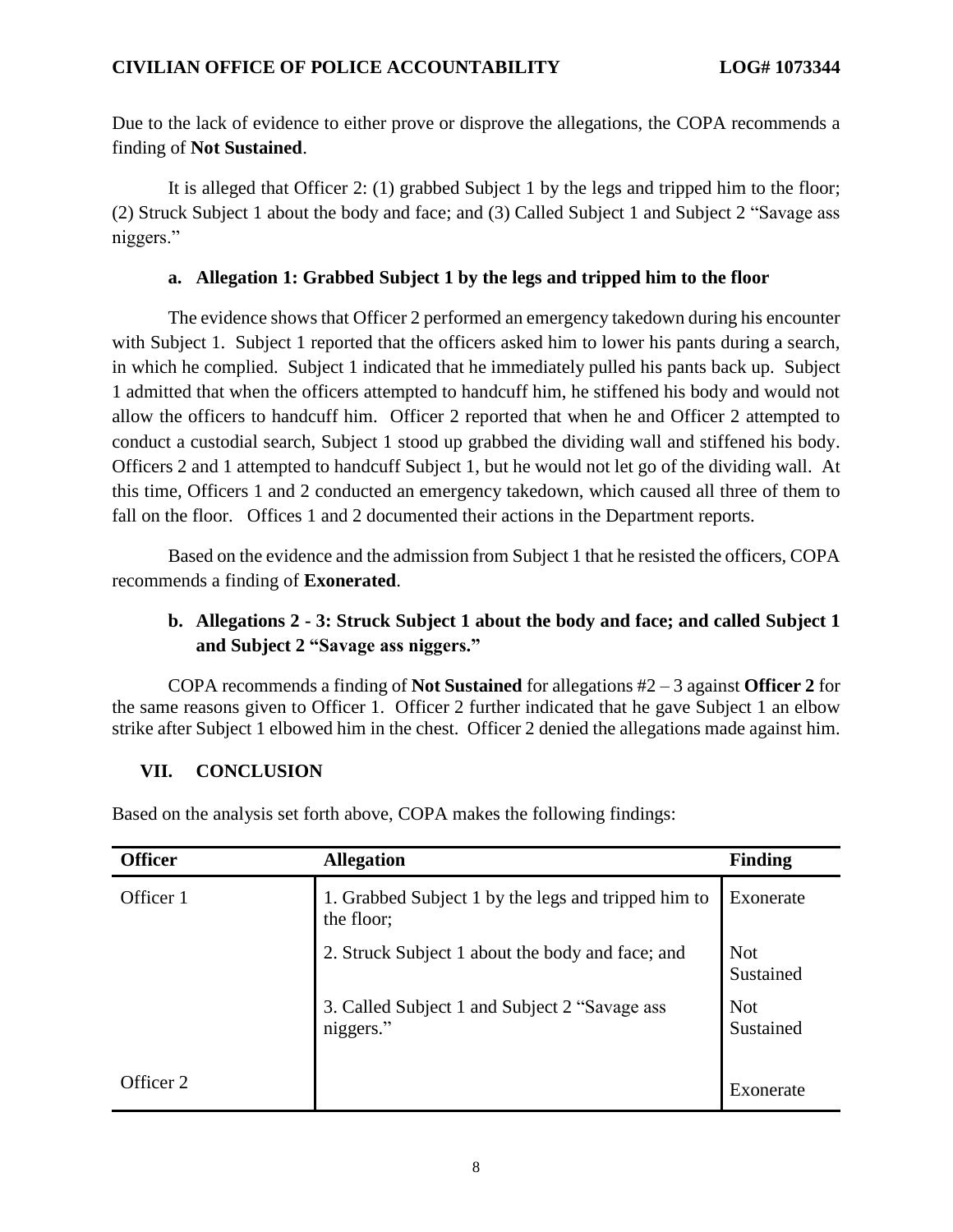Due to the lack of evidence to either prove or disprove the allegations, the COPA recommends a finding of **Not Sustained**.

It is alleged that Officer 2: (1) grabbed Subject 1 by the legs and tripped him to the floor; (2) Struck Subject 1 about the body and face; and (3) Called Subject 1 and Subject 2 "Savage ass niggers."

### **a. Allegation 1: Grabbed Subject 1 by the legs and tripped him to the floor**

The evidence shows that Officer 2 performed an emergency takedown during his encounter with Subject 1. Subject 1 reported that the officers asked him to lower his pants during a search, in which he complied. Subject 1 indicated that he immediately pulled his pants back up. Subject 1 admitted that when the officers attempted to handcuff him, he stiffened his body and would not allow the officers to handcuff him. Officer 2 reported that when he and Officer 2 attempted to conduct a custodial search, Subject 1 stood up grabbed the dividing wall and stiffened his body. Officers 2 and 1 attempted to handcuff Subject 1, but he would not let go of the dividing wall. At this time, Officers 1 and 2 conducted an emergency takedown, which caused all three of them to fall on the floor. Offices 1 and 2 documented their actions in the Department reports.

Based on the evidence and the admission from Subject 1 that he resisted the officers, COPA recommends a finding of **Exonerated**.

## **b. Allegations 2 - 3: Struck Subject 1 about the body and face; and called Subject 1 and Subject 2 "Savage ass niggers."**

 COPA recommends a finding of **Not Sustained** for allegations #2 – 3 against **Officer 2** for the same reasons given to Officer 1. Officer 2 further indicated that he gave Subject 1 an elbow strike after Subject 1 elbowed him in the chest. Officer 2 denied the allegations made against him.

## **VII. CONCLUSION**

Based on the analysis set forth above, COPA makes the following findings:

| <b>Officer</b> | <b>Allegation</b>                                                 | <b>Finding</b>          |
|----------------|-------------------------------------------------------------------|-------------------------|
| Officer 1      | 1. Grabbed Subject 1 by the legs and tripped him to<br>the floor; | Exonerate               |
|                | 2. Struck Subject 1 about the body and face; and                  | <b>Not</b><br>Sustained |
|                | 3. Called Subject 1 and Subject 2 "Savage ass<br>niggers."        | <b>Not</b><br>Sustained |
| Officer 2      |                                                                   | Exonerate               |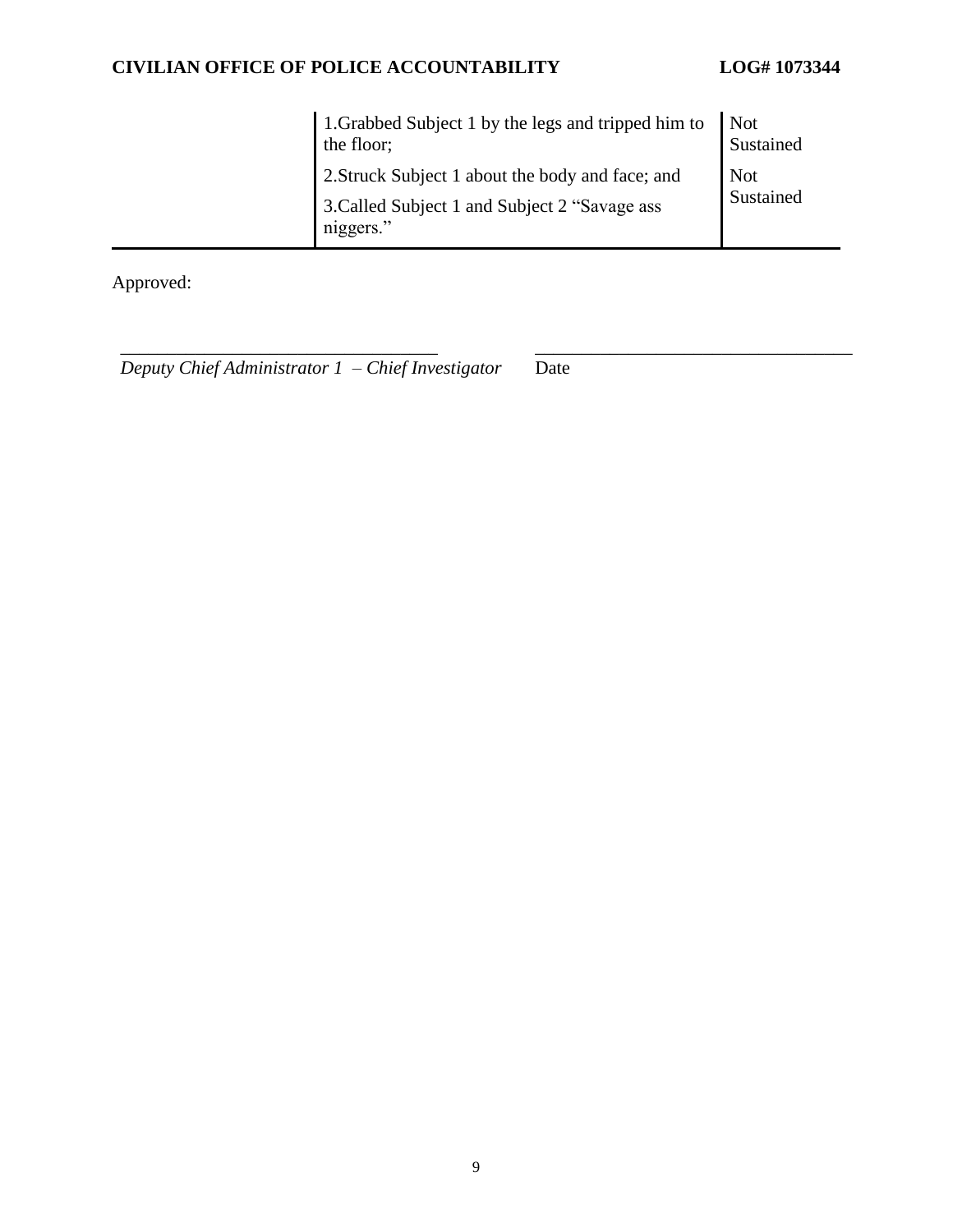## **CIVILIAN OFFICE OF POLICE ACCOUNTABILITY LOG# 1073344**

| 1. Grabbed Subject 1 by the legs and tripped him to<br>the floor; | Not<br>Sustained |
|-------------------------------------------------------------------|------------------|
| 2. Struck Subject 1 about the body and face; and                  | <b>Not</b>       |
| 3. Called Subject 1 and Subject 2 "Savage ass<br>niggers."        | Sustained        |

\_\_\_\_\_\_\_\_\_\_\_\_\_\_\_\_\_\_\_\_\_\_\_\_\_\_\_\_\_\_\_\_\_\_ \_\_\_\_\_\_\_\_\_\_\_\_\_\_\_\_\_\_\_\_\_\_\_\_\_\_\_\_\_\_\_\_\_\_

Approved:

*Deputy Chief Administrator 1 – Chief Investigator* Date